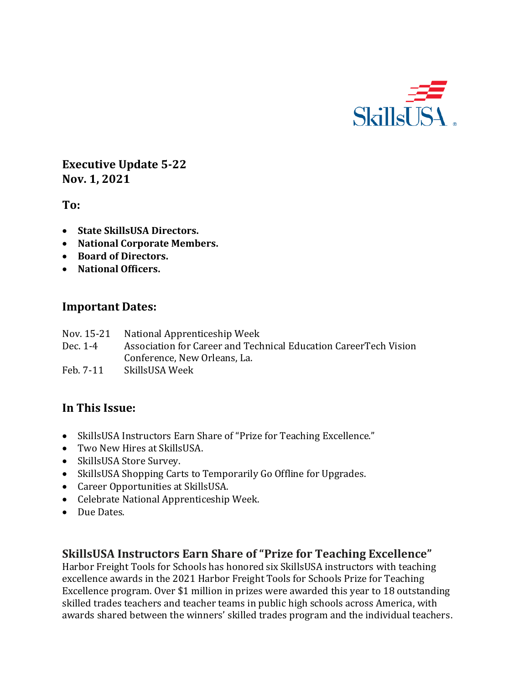

**Executive Update 5-22 Nov. 1, 2021**

**To:** 

- **State SkillsUSA Directors.**
- **National Corporate Members.**
- **Board of Directors.**
- **National Officers.**

#### **Important Dates:**

- Nov. 15-21 National Apprenticeship Week
- Dec. 1-4 Association for Career and Technical Education CareerTech Vision Conference, New Orleans, La.
- Feb. 7-11 SkillsUSA Week

# **In This Issue:**

- SkillsUSA Instructors Earn Share of "Prize for Teaching Excellence."
- Two New Hires at SkillsUSA.
- SkillsUSA Store Survey.
- SkillsUSA Shopping Carts to Temporarily Go Offline for Upgrades.
- Career Opportunities at SkillsUSA.
- Celebrate National Apprenticeship Week.
- Due Dates.

### **SkillsUSA Instructors Earn Share of "Prize for Teaching Excellence"**

Harbor Freight Tools for Schools has honored six SkillsUSA instructors with teaching excellence awards in the 2021 Harbor Freight Tools for Schools Prize for Teaching Excellence program. Over \$1 million in prizes were awarded this year to 18 outstanding skilled trades teachers and teacher teams in public high schools across America, with awards shared between the winners' skilled trades program and the individual teachers.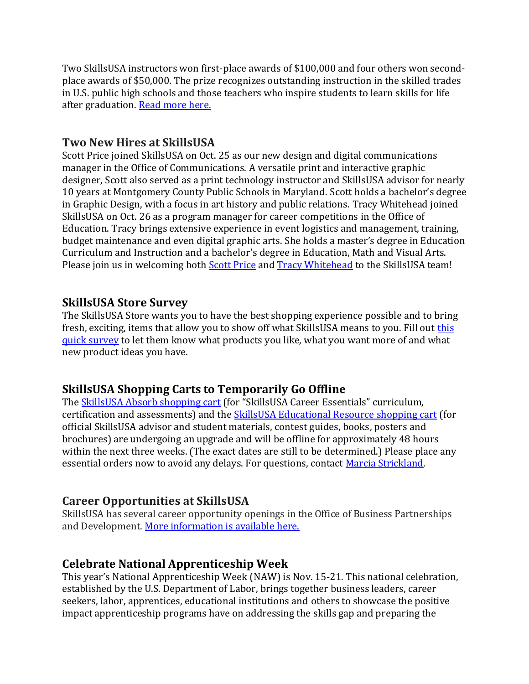Two SkillsUSA instructors won first-place awards of \$100,000 and four others won secondplace awards of \$50,000. The prize recognizes outstanding instruction in the skilled trades in U.S. public high schools and those teachers who inspire students to learn skills for life after graduation. [Read more here.](https://www.skillsusa.org/skillsusa-finalists-for-the-harbor-freight-tools-for-schools-prize-for-teaching-excellence/)

### **Two New Hires at SkillsUSA**

Scott Price joined SkillsUSA on Oct. 25 as our new design and digital communications manager in the Office of Communications. A versatile print and interactive graphic designer, Scott also served as a print technology instructor and SkillsUSA advisor for nearly 10 years at Montgomery County Public Schools in Maryland. Scott holds a bachelor's degree in Graphic Design, with a focus in art history and public relations. Tracy Whitehead joined SkillsUSA on Oct. 26 as a program manager for career competitions in the Office of Education. Tracy brings extensive experience in event logistics and management, training, budget maintenance and even digital graphic arts. She holds a master's degree in Education Curriculum and Instruction and a bachelor's degree in Education, Math and Visual Arts. Please join us in welcoming both **Scott Price** and **Tracy Whitehead** to the SkillsUSA team!

### **SkillsUSA Store Survey**

The SkillsUSA Store wants you to have the best shopping experience possible and to bring fresh, exciting, items that allow you to show off what SkillsUSA means to you. Fill out [this](https://centricitynow.typeform.com/to/uRqfUIdT)  [quick survey](https://centricitynow.typeform.com/to/uRqfUIdT) to let them know what products you like, what you want more of and what new product ideas you have.

# **SkillsUSA Shopping Carts to Temporarily Go Offline**

The [SkillsUSA Absorb shopping cart](https://absorb.skillsusa.org/#/public-dashboard) (for "SkillsUSA Career Essentials" curriculum, certification and assessments) and the [SkillsUSA Educational Resource shopping cart](https://www.skillsusastore.net/) (for official SkillsUSA advisor and student materials, contest guides, books, posters and brochures) are undergoing an upgrade and will be offline for approximately 48 hours within the next three weeks. (The exact dates are still to be determined.) Please place any essential orders now to avoid any delays. For questions, contact [Marcia Strickland.](mailto:mstrickland@skillsusa.org)

# **Career Opportunities at SkillsUSA**

SkillsUSA has several career opportunity openings in the Office of Business Partnerships and Development[. More information](https://www.skillsusa.org/about/careers-at-skillsusa/) is available here.

# **Celebrate National Apprenticeship Week**

This year's National Apprenticeship Week (NAW) is Nov. 15-21. This national celebration, established by the U.S. Department of Labor, brings together business leaders, career seekers, labor, apprentices, educational institutions and others to showcase the positive impact apprenticeship programs have on addressing the skills gap and preparing the